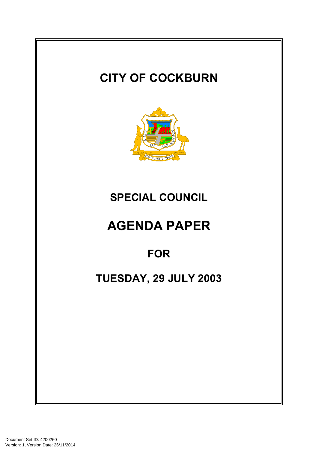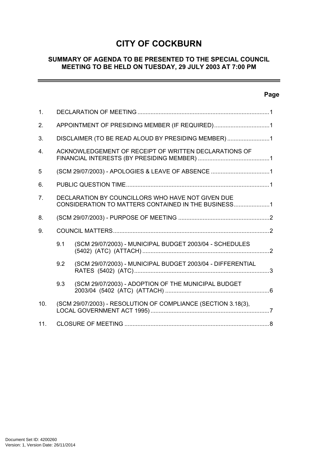# **CITY OF COCKBURN**

# **SUMMARY OF AGENDA TO BE PRESENTED TO THE SPECIAL COUNCIL MEETING TO BE HELD ON TUESDAY, 29 JULY 2003 AT 7:00 PM**

# **Page**

 $\equiv$ 

| 1.             |                                                                                                          |                                                               |  |  |  |  |
|----------------|----------------------------------------------------------------------------------------------------------|---------------------------------------------------------------|--|--|--|--|
| 2.             | APPOINTMENT OF PRESIDING MEMBER (IF REQUIRED)1                                                           |                                                               |  |  |  |  |
| 3.             | DISCLAIMER (TO BE READ ALOUD BY PRESIDING MEMBER)1                                                       |                                                               |  |  |  |  |
| 4 <sup>1</sup> | ACKNOWLEDGEMENT OF RECEIPT OF WRITTEN DECLARATIONS OF                                                    |                                                               |  |  |  |  |
| 5              | (SCM 29/07/2003) - APOLOGIES & LEAVE OF ABSENCE 1                                                        |                                                               |  |  |  |  |
| 6.             |                                                                                                          |                                                               |  |  |  |  |
| 7 <sub>1</sub> | DECLARATION BY COUNCILLORS WHO HAVE NOT GIVEN DUE<br>CONSIDERATION TO MATTERS CONTAINED IN THE BUSINESS1 |                                                               |  |  |  |  |
| 8.             |                                                                                                          |                                                               |  |  |  |  |
| 9.             |                                                                                                          |                                                               |  |  |  |  |
|                | 9.1                                                                                                      | (SCM 29/07/2003) - MUNICIPAL BUDGET 2003/04 - SCHEDULES       |  |  |  |  |
|                | 9.2                                                                                                      | (SCM 29/07/2003) - MUNICIPAL BUDGET 2003/04 - DIFFERENTIAL    |  |  |  |  |
|                | 9.3                                                                                                      | (SCM 29/07/2003) - ADOPTION OF THE MUNICIPAL BUDGET           |  |  |  |  |
| 10.            |                                                                                                          | (SCM 29/07/2003) - RESOLUTION OF COMPLIANCE (SECTION 3.18(3), |  |  |  |  |
| 11.            |                                                                                                          |                                                               |  |  |  |  |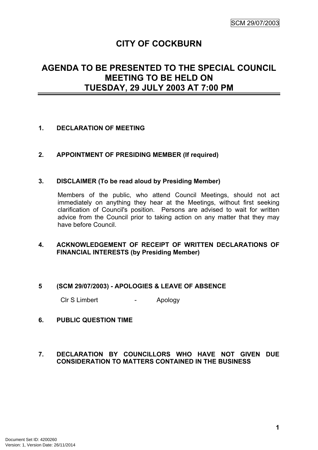# **CITY OF COCKBURN**

# **AGENDA TO BE PRESENTED TO THE SPECIAL COUNCIL MEETING TO BE HELD ON TUESDAY, 29 JULY 2003 AT 7:00 PM**

#### <span id="page-2-0"></span>**1. DECLARATION OF MEETING**

#### <span id="page-2-1"></span>**2. APPOINTMENT OF PRESIDING MEMBER (If required)**

#### <span id="page-2-2"></span>**3. DISCLAIMER (To be read aloud by Presiding Member)**

Members of the public, who attend Council Meetings, should not act immediately on anything they hear at the Meetings, without first seeking clarification of Council's position. Persons are advised to wait for written advice from the Council prior to taking action on any matter that they may have before Council.

#### <span id="page-2-3"></span>**4. ACKNOWLEDGEMENT OF RECEIPT OF WRITTEN DECLARATIONS OF FINANCIAL INTERESTS (by Presiding Member)**

#### <span id="page-2-4"></span>**5 (SCM 29/07/2003) - APOLOGIES & LEAVE OF ABSENCE**

Clr S Limbert **-** Apology

## <span id="page-2-5"></span>**6. PUBLIC QUESTION TIME**

## <span id="page-2-6"></span>**7. DECLARATION BY COUNCILLORS WHO HAVE NOT GIVEN DUE CONSIDERATION TO MATTERS CONTAINED IN THE BUSINESS**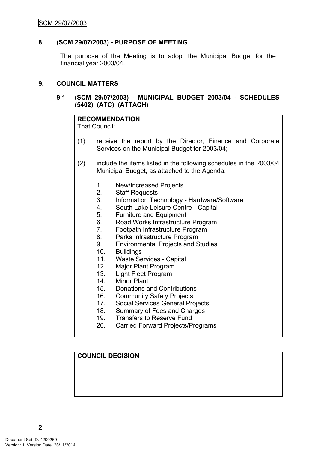## SCM 29/07/2003

#### <span id="page-3-0"></span>**8. (SCM 29/07/2003) - PURPOSE OF MEETING**

The purpose of the Meeting is to adopt the Municipal Budget for the financial year 2003/04.

#### <span id="page-3-1"></span>**9. COUNCIL MATTERS**

#### <span id="page-3-2"></span>**9.1 (SCM 29/07/2003) - MUNICIPAL BUDGET 2003/04 - SCHEDULES (5402) (ATC) (ATTACH)**

# **RECOMMENDATION**

That Council:

- (1) receive the report by the Director, Finance and Corporate Services on the Municipal Budget for 2003/04;
- (2) include the items listed in the following schedules in the 2003/04 Municipal Budget, as attached to the Agenda:
	- 1. New/Increased Projects
	- 2. Staff Requests
	- 3. Information Technology Hardware/Software
	- 4. South Lake Leisure Centre Capital
	- 5. Furniture and Equipment
	- 6. Road Works Infrastructure Program
	- 7. Footpath Infrastructure Program
	- 8. Parks Infrastructure Program
	- 9. Environmental Projects and Studies
	- 10. Buildings
	- 11. Waste Services Capital
	- 12. Major Plant Program
	- 13. Light Fleet Program
	- 14. Minor Plant
	- 15. Donations and Contributions
	- 16. Community Safety Projects
	- 17. Social Services General Projects
	- 18. Summary of Fees and Charges
	- 19. Transfers to Reserve Fund
	- 20. Carried Forward Projects/Programs

#### **COUNCIL DECISION**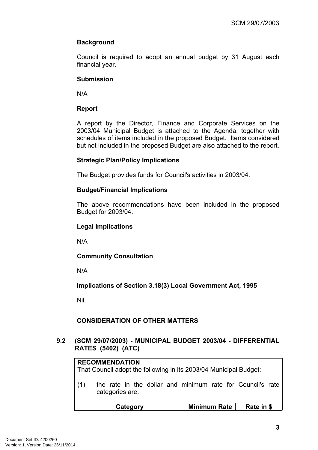# **Background**

Council is required to adopt an annual budget by 31 August each financial year.

## **Submission**

N/A

# **Report**

A report by the Director, Finance and Corporate Services on the 2003/04 Municipal Budget is attached to the Agenda, together with schedules of items included in the proposed Budget. Items considered but not included in the proposed Budget are also attached to the report.

## **Strategic Plan/Policy Implications**

The Budget provides funds for Council's activities in 2003/04.

# **Budget/Financial Implications**

The above recommendations have been included in the proposed Budget for 2003/04.

## **Legal Implications**

N/A

# **Community Consultation**

N/A

**Implications of Section 3.18(3) Local Government Act, 1995**

Nil.

# **CONSIDERATION OF OTHER MATTERS**

# <span id="page-4-0"></span>**9.2 (SCM 29/07/2003) - MUNICIPAL BUDGET 2003/04 - DIFFERENTIAL RATES (5402) (ATC)**

| <b>RECOMMENDATION</b><br>That Council adopt the following in its 2003/04 Municipal Budget: |                                                                               |  |  |                     |            |  |  |  |  |
|--------------------------------------------------------------------------------------------|-------------------------------------------------------------------------------|--|--|---------------------|------------|--|--|--|--|
| (1)                                                                                        | the rate in the dollar and minimum rate for Council's rate<br>categories are: |  |  |                     |            |  |  |  |  |
| Category                                                                                   |                                                                               |  |  | <b>Minimum Rate</b> | Rate in \$ |  |  |  |  |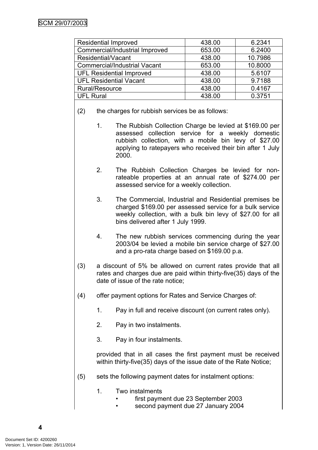| <b>Residential Improved</b>         | 438.00 | 6.2341  |
|-------------------------------------|--------|---------|
| Commercial/Industrial Improved      | 653.00 | 6.2400  |
| Residential/Vacant                  | 438.00 | 10.7986 |
| <b>Commercial/Industrial Vacant</b> | 653.00 | 10.8000 |
| <b>UFL Residential Improved</b>     | 438.00 | 5.6107  |
| <b>UFL Residential Vacant</b>       | 438.00 | 9.7188  |
| Rural/Resource                      | 438.00 | 0.4167  |
| <b>UFL Rural</b>                    | 438.00 | 0.3751  |

- (2) the charges for rubbish services be as follows:
	- 1. The Rubbish Collection Charge be levied at \$169.00 per assessed collection service for a weekly domestic rubbish collection, with a mobile bin levy of \$27.00 applying to ratepayers who received their bin after 1 July 2000.
	- 2. The Rubbish Collection Charges be levied for nonrateable properties at an annual rate of \$274.00 per assessed service for a weekly collection.
	- 3. The Commercial, Industrial and Residential premises be charged \$169.00 per assessed service for a bulk service weekly collection, with a bulk bin levy of \$27.00 for all bins delivered after 1 July 1999.
	- 4. The new rubbish services commencing during the year 2003/04 be levied a mobile bin service charge of \$27.00 and a pro-rata charge based on \$169.00 p.a.
- (3) a discount of 5% be allowed on current rates provide that all rates and charges due are paid within thirty-five(35) days of the date of issue of the rate notice;
- (4) offer payment options for Rates and Service Charges of:
	- 1. Pay in full and receive discount (on current rates only).
	- 2. Pay in two instalments.
	- 3. Pay in four instalments.

provided that in all cases the first payment must be received within thirty-five(35) days of the issue date of the Rate Notice;

- (5) sets the following payment dates for instalment options:
	- 1. Two instalments
		- first payment due 23 September 2003
		- second payment due 27 January 2004

**4**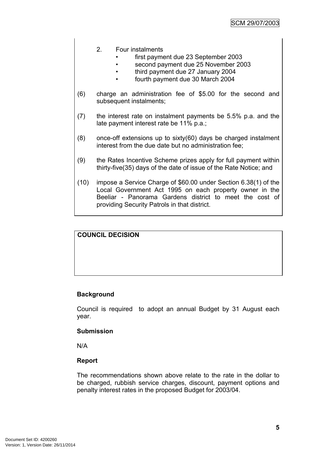## 2. Four instalments

- first payment due 23 September 2003
- second payment due 25 November 2003
- third payment due 27 January 2004
- fourth payment due 30 March 2004
- (6) charge an administration fee of \$5.00 for the second and subsequent instalments;
- (7) the interest rate on instalment payments be 5.5% p.a. and the late payment interest rate be 11% p.a.;
- (8) once-off extensions up to sixty(60) days be charged instalment interest from the due date but no administration fee;
- (9) the Rates Incentive Scheme prizes apply for full payment within thirty-five(35) days of the date of issue of the Rate Notice; and
- (10) impose a Service Charge of \$60.00 under Section 6.38(1) of the Local Government Act 1995 on each property owner in the Beeliar - Panorama Gardens district to meet the cost of providing Security Patrols in that district.

# **COUNCIL DECISION**

#### **Background**

Council is required to adopt an annual Budget by 31 August each year.

#### **Submission**

N/A

# **Report**

The recommendations shown above relate to the rate in the dollar to be charged, rubbish service charges, discount, payment options and penalty interest rates in the proposed Budget for 2003/04.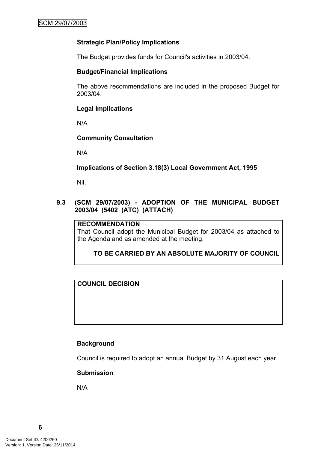#### **Strategic Plan/Policy Implications**

The Budget provides funds for Council's activities in 2003/04.

#### **Budget/Financial Implications**

The above recommendations are included in the proposed Budget for 2003/04.

#### **Legal Implications**

N/A

#### **Community Consultation**

N/A

#### **Implications of Section 3.18(3) Local Government Act, 1995**

Nil.

#### <span id="page-7-0"></span>**9.3 (SCM 29/07/2003) - ADOPTION OF THE MUNICIPAL BUDGET 2003/04 (5402 (ATC) (ATTACH)**

#### **RECOMMENDATION**

That Council adopt the Municipal Budget for 2003/04 as attached to the Agenda and as amended at the meeting.

**TO BE CARRIED BY AN ABSOLUTE MAJORITY OF COUNCIL**

## **COUNCIL DECISION**

#### **Background**

Council is required to adopt an annual Budget by 31 August each year.

#### **Submission**

N/A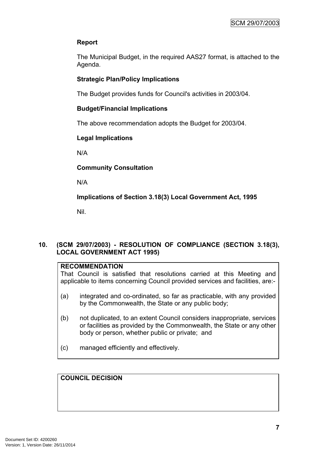# **Report**

The Municipal Budget, in the required AAS27 format, is attached to the Agenda.

# **Strategic Plan/Policy Implications**

The Budget provides funds for Council's activities in 2003/04.

# **Budget/Financial Implications**

The above recommendation adopts the Budget for 2003/04.

# **Legal Implications**

N/A

# **Community Consultation**

N/A

# **Implications of Section 3.18(3) Local Government Act, 1995**

Nil.

# <span id="page-8-0"></span>**10. (SCM 29/07/2003) - RESOLUTION OF COMPLIANCE (SECTION 3.18(3), LOCAL GOVERNMENT ACT 1995)**

# **RECOMMENDATION**

That Council is satisfied that resolutions carried at this Meeting and applicable to items concerning Council provided services and facilities, are:-

- (a) integrated and co-ordinated, so far as practicable, with any provided by the Commonwealth, the State or any public body;
- (b) not duplicated, to an extent Council considers inappropriate, services or facilities as provided by the Commonwealth, the State or any other body or person, whether public or private; and
- (c) managed efficiently and effectively.

# **COUNCIL DECISION**